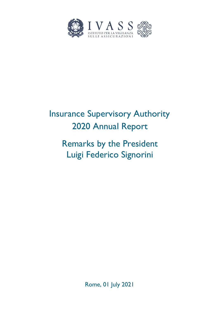

# Insurance Supervisory Authority 2020 Annual Report

# Remarks by the President Luigi Federico Signorini

Rome, 01 July 2021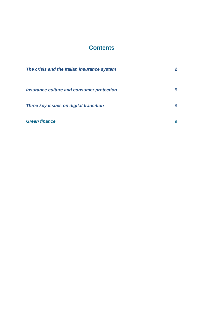# **Contents**

| The crisis and the Italian insurance system      | $\mathbf{2}$ |
|--------------------------------------------------|--------------|
| <b>Insurance culture and consumer protection</b> | 5.           |
| Three key issues on digital transition           | 8            |
| <b>Green finance</b>                             | 9            |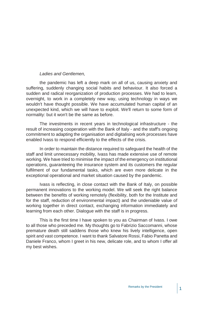### *Ladies and Gentlemen,*

the pandemic has left a deep mark on all of us, causing anxiety and suffering, suddenly changing social habits and behaviour. It also forced a sudden and radical reorganization of production processes. We had to learn, overnight, to work in a completely new way, using technology in ways we wouldn't have thought possible. We have accumulated human capital of an unexpected kind, which we will have to exploit. We'll return to some form of normality: but it won't be the same as before.

The investments in recent years in technological infrastructure - the result of increasing cooperation with the Bank of Italy - and the staff's ongoing commitment to adapting the organisation and digitalising work processes have enabled Ivass to respond efficiently to the effects of the crisis.

In order to maintain the distance required to safeguard the health of the staff and limit unnecessary mobility, Ivass has made extensive use of remote working. We have tried to minimise the impact of the emergency on institutional operations, guaranteeing the insurance system and its customers the regular fulfilment of our fundamental tasks, which are even more delicate in the exceptional operational and market situation caused by the pandemic.

Ivass is reflecting, in close contact with the Bank of Italy, on possible permanent innovations to the working model. We will seek the right balance between the benefits of working remotely (flexibility, both for the Institute and for the staff, reduction of environmental impact) and the undeniable value of working together in direct contact, exchanging information immediately and learning from each other. Dialogue with the staff is in progress.

This is the first time I have spoken to you as Chairman of Ivass. I owe to all those who preceded me. My thoughts go to Fabrizio Saccomanni, whose premature death still saddens those who knew his lively intelligence, open spirit and vast competence. I want to thank Salvatore Rossi, Fabio Panetta and Daniele Franco, whom I greet in his new, delicate role, and to whom I offer all my best wishes.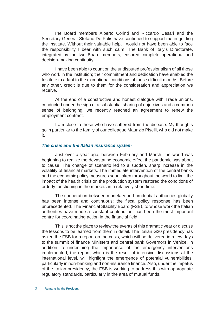<span id="page-5-0"></span> The Board members Alberto Corinti and Riccardo Cesari and the Secretary General Stefano De Polis have continued to support me in guiding the Institute. Without their valuable help, I would not have been able to face the responsibility I bear with such calm. The Bank of Italy's Directorate, integrated by the two Board members, ensured complete operational and decision-making continuity.

I have been able to count on the undisputed professionalism of all those who work in the institution; their commitment and dedication have enabled the Institute to adapt to the exceptional conditions of these difficult months. Before any other, credit is due to them for the consideration and appreciation we receive.

At the end of a constructive and honest dialogue with Trade unions, conducted under the sign of a substantial sharing of objectives and a common sense of belonging, we recently reached an agreement to renew the employment contract.

I am close to those who have suffered from the disease. My thoughts go in particular to the family of our colleague Maurizio Piselli, who did not make it.

#### *The crisis and the Italian insurance system*

Just over a year ago, between February and March, the world was beginning to realize the devastating economic effect the pandemic was about to cause. The change of scenario led to a sudden, sharp increase in the volatility of financial markets. The immediate intervention of the central banks and the economic policy measures soon taken throughout the world to limit the impact of the health crisis on the production system restored the conditions of orderly functioning in the markets in a relatively short time.

The cooperation between monetary and prudential authorities globally has been intense and continuous; the fiscal policy response has been unprecedented. The Financial Stability Board (FSB), to whose work the Italian authorities have made a constant contribution, has been the most important centre for coordinating action in the financial field.

This is not the place to review the events of this dramatic year or discuss the lessons to be learned from them in detail. The Italian G20 presidency has asked the FSB for a report on the crisis, which will be delivered in a few days to the summit of finance Ministers and central bank Governors in Venice. In addition to underlining the importance of the emergency interventions implemented, the report, which is the result of intensive discussions at the international level, will highlight the emergence of potential vulnerabilities, particularly in non-banking and non-insurance finance. Also, under the impetus of the Italian presidency, the FSB is working to address this with appropriate regulatory standards, particularly in the area of mutual funds.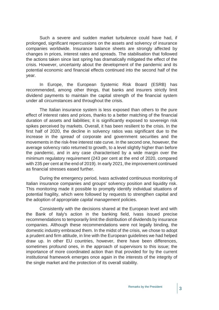Such a severe and sudden market turbulence could have had, if prolonged, significant repercussions on the assets and solvency of insurance companies worldwide. Insurance balance sheets are strongly affected by changes in prices, interest rates and spreads. The stabilisation that followed the actions taken since last spring has dramatically mitigated the effect of the crisis. However, uncertainty about the development of the pandemic and its potential economic and financial effects continued into the second half of the year.

In Europe, the European Systemic Risk Board (ESRB) has recommended, among other things, that banks and insurers strictly limit dividend payments to maintain the capital strength of the financial system under all circumstances and throughout the crisis.

The Italian insurance system is less exposed than others to the pure effect of interest rates and prices, thanks to a better matching of the financial duration of assets and liabilities; it is significantly exposed to sovereign risk spikes perceived by markets. Overall, it has been resilient to the crisis. In the first half of 2020, the decline in solvency ratios was significant due to the increase in the *spread* of corporate and government securities and the movements in the risk-free interest rate curve. In the second one, however, the average solvency ratio returned to growth, to a level slightly higher than before the pandemic, and in any case characterised by a wide margin over the minimum regulatory requirement (243 per cent at the end of 2020, compared with 235 per cent at the end of 2019). In early 2021, the improvement continued as financial stresses eased further.

During the emergency period, Ivass activated continuous monitoring of Italian insurance companies and groups' solvency position and liquidity risk. This monitoring made it possible to promptly identify individual situations of potential fragility, which were followed by requests to strengthen capital and the adoption of appropriate *capital management* policies.

Consistently with the decisions shared at the European level and with the Bank of Italy's action in the banking field, Ivass issued precise recommendations to temporarily limit the distribution of dividends by insurance companies. Although these recommendations were not legally binding, the domestic industry embraced them. In the midst of the crisis, we chose to adopt a prudent and firm attitude, in line with the European guidelines we had helped draw up. In other EU countries, however, there have been differences, sometimes profound ones, in the approach of supervisors to this issue; the importance of more coordinated action than that provided for by the current institutional framework emerges once again in the interests of the integrity of the single market and the protection of its overall stability.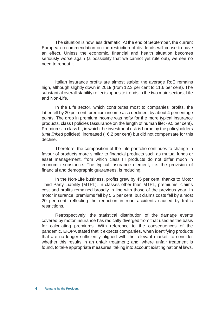The situation is now less dramatic. At the end of September, the current European recommendation on the restriction of dividends will cease to have an effect. Unless the economic, financial and health situation becomes seriously worse again (a possibility that we cannot yet rule out), we see no need to repeat it.

Italian insurance profits are almost stable; the average RoE remains high, although slightly down in 2019 (from 12.3 per cent to 11.6 per cent). The substantial overall stability reflects opposite trends in the two main sectors, Life and Non-Life.

In the Life sector, which contributes most to companies' profits, the latter fell by 20 per cent; premium income also declined, by about 4 percentage points. The drop in premium income was hefty for the more typical insurance products, class I policies (assurance on the length of human life: -9.5 per cent). Premiums in class III, in which the investment risk is borne by the policyholders (*unit linked* policies), increased (+6.2 per cent) but did not compensate for this decline.

Therefore, the composition of the Life portfolio continues to change in favour of products more similar to financial products such as mutual funds or asset management, from which class III products do not differ much in economic substance. The typical insurance element, i.e. the provision of financial and demographic guarantees, is reducing.

In the Non-Life business, profits grew by 45 per cent, thanks to Motor Third Party Liability (MTPL). In classes other than MTPL, premiums, claims cost and profits remained broadly in line with those of the previous year. In motor insurance, premiums fell by 5.5 per cent, but claims costs fell by almost 20 per cent, reflecting the reduction in road accidents caused by traffic restrictions.

Retrospectively, the statistical distribution of the damage events covered by motor insurance has radically diverged from that used as the basis for calculating premiums. With reference to the consequences of the pandemic, EIOPA stated that it expects companies, when identifying products that are no longer sufficiently aligned with the relevant market, to consider whether this results in an unfair treatment; and, where unfair treatment is found, to take appropriate measures, taking into account existing national laws.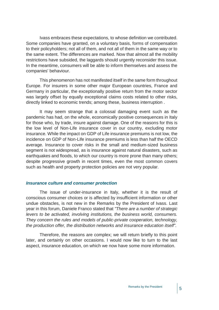<span id="page-8-0"></span>Ivass embraces these expectations, to whose definition we contributed. Some companies have granted, on a voluntary basis, forms of compensation to their policyholders; not all of them, and not all of them in the same way or to the same extent. The differences are marked. Now that almost all the mobility restrictions have subsided, the laggards should urgently reconsider this issue. In the meantime, consumers will be able to inform themselves and assess the companies' behaviour.

This phenomenon has not manifested itself in the same form throughout Europe. For insurers in some other major European countries, France and Germany in particular, the exceptionally positive return from the motor sector was largely offset by equally exceptional claims costs related to other risks, directly linked to economic trends; among these, business interruption .

It may seem strange that a colossal damaging event such as the pandemic has had, on the whole, economically positive consequences in Italy for those who, by trade, insure against damage. One of the reasons for this is the low level of Non-Life insurance cover in our country, excluding motor insurance. While the impact on GDP of Life insurance premiums is not low, the incidence on GDP of Non-Life insurance premiums is less than half the OECD average. Insurance to cover risks in the small and medium-sized business segment is not widespread, as is insurance against natural disasters, such as earthquakes and floods, to which our country is more prone than many others; despite progressive growth in recent times, even the most common covers such as health and property protection policies are not very popular.

### *Insurance culture and consumer protection*

The issue of under-insurance in Italy, whether it is the result of conscious consumer choices or is affected by insufficient information or other undue obstacles, is not new in the Remarks by the President of Ivass. Last year in this forum, Daniele Franco stated that *"There are a number of strategic levers to be activated, involving institutions, the business world, consumers. They concern the rules and models of public-private cooperation, technology, the production offer, the distribution networks and insurance education itself".*

Therefore, the reasons are complex; we will return briefly to this point later, and certainly on other occasions. I would now like to turn to the last aspect, insurance education, on which we now have some more information.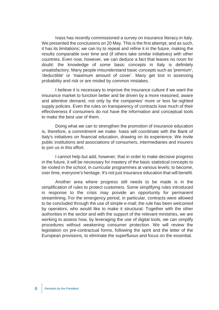Ivass has recently commissioned a survey on insurance literacy in Italy. We presented the conclusions on 20 May. This is the first attempt, and as such, it has its limitations; we can try to repeat and refine it in the future, making the results comparable over time and (if others take similar initiatives) with other countries. Even now, however, we can deduce a fact that leaves no room for doubt: the knowledge of some basic concepts in Italy is definitely unsatisfactory. Many people misunderstand basic concepts such as 'premium', 'deductible' or 'maximum amount of cover'. Many get lost in assessing probability and risk or are misled by common mistakes.

I believe it is necessary to improve the insurance culture if we want the insurance market to function better and be driven by a more reasoned, aware and attentive demand, not only by the companies' more or less far-sighted supply policies. Even the rules on transparency of contracts lose much of their effectiveness if consumers do not have the information and conceptual tools to make the best use of them.

Doing what we can to strengthen the promotion of insurance education is, therefore, a commitment we make. Ivass will coordinate with the Bank of Italy's initiatives on financial education, drawing on its experience. We invite public institutions and associations of consumers, intermediaries and insurers to join us in this effort.

I cannot help but add, however, that in order to make decisive progress in the future, it will be necessary for mastery of the basic statistical concepts to be rooted in the school, in curricular programmes at various levels; to become, over time, everyone's heritage. It's not just insurance education that will benefit.

Another area where progress still needs to be made is in the simplification of rules to protect customers. Some simplifying rules introduced in response to the crisis may provide an opportunity for permanent streamlining. For the emergency period, in particular, contracts were allowed to be concluded through the use of simple e-mail; the rule has been welcomed by operators, who would like to make it structural. Together with the other authorities in the sector and with the support of the relevant ministries, we are working to assess how, by leveraging the use of digital tools, we can simplify procedures without weakening consumer protection. We will review the legislation on pre-contractual forms, following the spirit and the letter of the European provisions, to eliminate the superfluous and focus on the essential.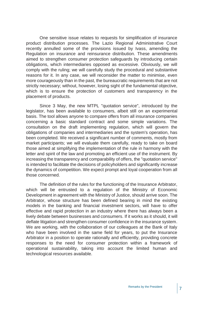One sensitive issue relates to requests for simplification of insurance product distribution processes. The Lazio Regional Administrative Court recently annulled some of the provisions issued by Ivass, amending the Regulation on insurance and reinsurance distribution. These amendments aimed to strengthen consumer protection safeguards by introducing certain obligations, which intermediaries opposed as excessive. Obviously, we will comply with the ruling; we will carefully study the procedural and substantive reasons for it. In any case, we will reconsider the matter to minimise, even more courageously than in the past, the bureaucratic requirements that are not strictly necessary; without, however, losing sight of the fundamental objective, which is to ensure the protection of customers and transparency in the placement of products.

Since 3 May, the new MTPL "quotation service", introduced by the legislator, has been available to consumers, albeit still on an experimental basis. The tool allows anyone to compare offers from all insurance companies concerning a basic standard contract and some simple variations. The consultation on the draft implementing regulation, which will govern the obligations of companies and intermediaries and the system's operation, has been completed. We received a significant number of comments, mostly from market participants; we will evaluate them carefully, ready to take on board those aimed at simplifying the implementation of the rule in harmony with the letter and spirit of the law and promoting an efficient use of the instrument. By increasing the transparency and comparability of offers, the "quotation service" is intended to facilitate the decisions of policyholders and significantly increase the dynamics of competition. We expect prompt and loyal cooperation from all those concerned.

The definition of the rules for the functioning of the Insurance Arbitrator, which will be entrusted to a regulation of the Ministry of Economic Development in agreement with the Ministry of Justice, should arrive soon. The Arbitrator, whose structure has been defined bearing in mind the existing models in the banking and financial investment sectors, will have to offer effective and rapid protection in an industry where there has always been a lively debate between businesses and consumers. If it works as it should, it will deflate litigation and strengthen consumer confidence in the insurance system. We are working, with the collaboration of our colleagues at the Bank of Italy who have been involved in the same field for years, to put the Insurance Arbitrator in a position to operate rationally and efficiently, providing concrete responses to the need for consumer protection within a framework of operational sustainability, taking into account the limited human and technological resources available.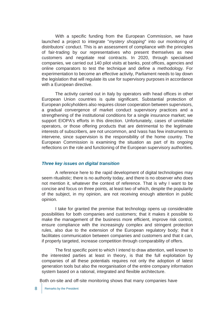<span id="page-11-0"></span>With a specific funding from the European Commission, we have launched a project to integrate "*mystery shopping*" into our monitoring of distributors' conduct. This is an assessment of compliance with the principles of fair-trading by our representatives who present themselves as new customers and negotiate real contracts. In 2020, through specialised companies, we carried out 140 pilot visits at banks, post offices, agencies and online comparators to test the technique and define a methodology. For experimentation to become an effective activity, Parliament needs to lay down the legislation that will regulate its use for supervisory purposes in accordance with a European directive.

The activity carried out in Italy by operators with head offices in other European Union countries is quite significant. Substantial protection of European policyholders also requires closer cooperation between supervisors, a gradual convergence of market conduct supervisory practices and a strengthening of the institutional conditions for a single insurance market; we support EIOPA's efforts in this direction. Unfortunately, cases of unreliable operators, or those offering products that are detrimental to the legitimate interests of subscribers, are not uncommon, and Ivass has few instruments to intervene, since supervision is the responsibility of the home country. The European Commission is examining the situation as part of its ongoing reflections on the role and functioning of the European supervisory authorities.

## *Three key issues on digital transition*

A reference here to the rapid development of digital technologies may seem ritualistic; there is no authority today, and there is no observer who does not mention it, whatever the context of reference. That is why I want to be concise and focus on three points, at least two of which, despite the popularity of the subject, in my opinion, are not receiving enough attention in public opinion.

I take for granted the premise that technology opens up considerable possibilities for both companies and customers; that it makes it possible to make the management of the business more efficient, improve risk control, ensure compliance with the increasingly complex and stringent protection rules, also due to the extension of the European regulatory body; that it facilitates communication between companies and customers and that it can, if properly targeted, increase competition through comparability of offers.

<span id="page-11-1"></span>The first specific point to which I intend to draw attention, well known to the interested parties at least in theory, is that the full exploitation by companies of all these potentials requires not only the adoption of latest generation tools but also the reorganisation of the entire company information system based on a rational, integrated and flexible architecture.

Both on-site and off-site monitoring shows that many companies have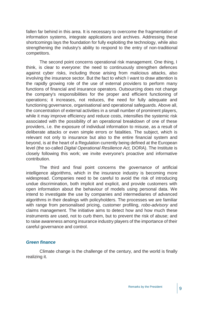fallen far behind in this area. It is necessary to overcome the fragmentation of information systems, integrate applications and archives. Addressing these shortcomings lays the foundation for fully exploiting the technology, while also strengthening the industry's ability to respond to the entry of non-traditional competitors.

The second point concerns operational risk management. One thing, I think, is clear to everyone: the need to continuously strengthen defences against cyber risks, including those arising from malicious attacks, also involving the insurance sector. But the fact to which I want to draw attention is the rapidly growing role of the use of external providers to perform many functions of financial and insurance operators. Outsourcing does not change the company's responsibilities for the proper and efficient functioning of operations; it increases, not reduces, the need for fully adequate and functioning governance, organisational and operational safeguards. Above all, the concentration of external activities in a small number of prominent players, while it may improve efficiency and reduce costs, intensifies the systemic risk associated with the possibility of an operational breakdown of one of these providers, i.e. the exposure of individual information to misuse, as a result of deliberate attacks or even simple errors or fatalities. The subject, which is relevant not only to insurance but also to the entire financial system and beyond, is at the heart of a Regulation currently being defined at the European level (the so-called *Digital Operational Resilience Act,* DORA). The Institute is closely following this work; we invite everyone's proactive and informative contribution.

The third and final point concerns the *governance* of artificial intelligence algorithms, which in the insurance industry is becoming more widespread. Companies need to be careful to avoid the risk of introducing undue discrimination, both implicit and explicit, and provide customers with open information about the behaviour of models using personal data. We intend to investigate the use by companies and intermediaries of advanced algorithms in their dealings with policyholders. The processes we are familiar with range from personalised pricing, customer profiling, *robo-advisory* and claims management. The initiative aims to detect how and how much these instruments are used, not to curb them, but to prevent the risk of abuse; and to raise awareness among insurance industry players of the importance of their careful governance and control.

#### *Green finance*

Climate change is the challenge of the century, and the world is finally realizing it.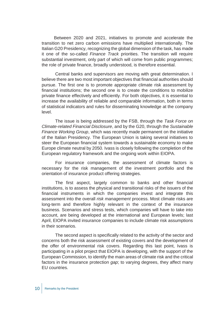Between 2020 and 2021, initiatives to promote and accelerate the transition to net zero carbon emissions have multiplied internationally. The Italian G20 Presidency, recognizing the global dimension of the task, has made it one of the so-called *Finance Track* priorities. The transition will require substantial investment, only part of which will come from public programmes; the role of private finance, broadly understood, is therefore essential.

Central banks and supervisors are moving with great determination. I believe there are two most important objectives that financial authorities should pursue. The first one is to promote appropriate climate risk assessment by financial institutions; the second one is to create the conditions to mobilize private finance effectively and efficiently. For both objectives, it is essential to increase the availability of reliable and comparable information, both in terms of statistical indicators and rules for disseminating knowledge at the company level.

The issue is being addressed by the FSB, through the *Task Force on Climate-related Financial Disclosure*, and by the G20, through the *Sustainable Finance Working Group*, which was recently made permanent on the initiative of the Italian Presidency. The European Union is taking several initiatives to steer the European financial system towards a sustainable economy to make Europe climate neutral by 2050*.* Ivass is closely following the completion of the European regulatory framework and the ongoing work within EIOPA.

For insurance companies, the assessment of climate factors is necessary for the risk management of the investment portfolio and the orientation of insurance product offering strategies.

The first aspect, largely common to banks and other financial institutions, is to assess the physical and transitional risks of the issuers of the financial instruments in which the companies invest and integrate this assessment into the overall *risk management* process. Most climate risks are long-term and therefore highly relevant in the context of the insurance business. Scenarios and stress tests, which companies will have to take into account, are being developed at the international and European levels; last April, EIOPA invited insurance companies to include climate risk assumptions in their scenarios.

The second aspect is specifically related to the activity of the sector and concerns both the risk assessment of existing covers and the development of the offer of environmental risk covers. Regarding this last point, Ivass is participating in a pilot project that EIOPA is developing, with the support of the European Commission, to identify the main areas of climate risk and the critical factors in the insurance protection *gap*; to varying degrees, they affect many EU countries.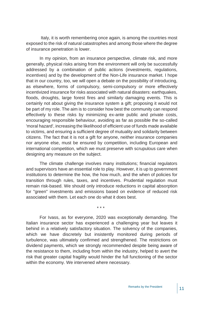Italy, it is worth remembering once again, is among the countries most exposed to the risk of natural catastrophes and among those where the degree of insurance penetration is lower.

In my opinion, from an insurance perspective, climate risk, and more generally, physical risks arising from the environment will only be successfully addressed by a combination of public actions (investments, regulations, incentives) and by the development of the Non-Life insurance market. I hope that in our country, too, we will open a debate on the possibility of introducing, as elsewhere, forms of compulsory, semi-compulsory or more effectively incentivized insurance for risks associated with natural disasters: earthquakes, floods, droughts, large forest fires and similarly damaging events. This is certainly not about giving the insurance system a gift; proposing it would not be part of my role. The aim is to consider how best the community can respond effectively to these risks by minimizing ex-ante public and private costs, encouraging responsible behaviour, avoiding as far as possible the so-called 'moral hazard', increasing the likelihood of efficient use of funds made available to victims, and ensuring a sufficient degree of mutuality and solidarity between citizens. The fact that it is not a gift for anyone, neither insurance companies nor anyone else, must be ensured by competition, including European and international competition, which we must preserve with scrupulous care when designing any measure on the subject.

The climate challenge involves many institutions; financial regulators and supervisors have an essential role to play. However, it is up to government institutions to determine the how, the how much, and the when of policies for transition through rules, taxes, and incentives. Prudential regulation must remain risk-based. We should only introduce reductions in capital absorption for "green" investments and emissions based on evidence of reduced risk associated with them. Let each one do what it does best.

\* \* \*

For Ivass, as for everyone, 2020 was exceptionally demanding. The Italian insurance sector has experienced a challenging year but leaves it behind in a relatively satisfactory situation. The solvency of the companies, which we have discretely but insistently monitored during periods of turbulence, was ultimately confirmed and strengthened. The restrictions on dividend payments, which we strongly recommended despite being aware of the resistance to them, including from within the industry, helped to avert the risk that greater capital fragility would hinder the full functioning of the sector within the economy. We intervened where necessary.